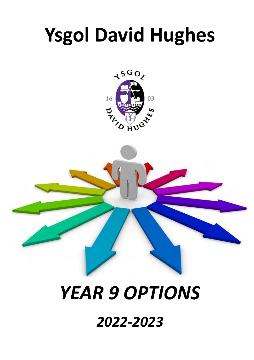# **Ysgol David Hughes**



# *YEAR 9 OPTIONS*

*2022-2023*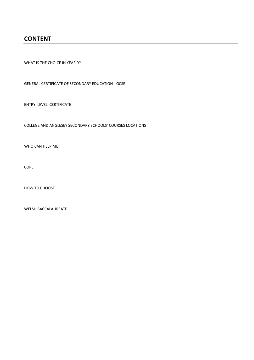# **CONTENT**

WHAT IS THE CHOICE IN YEAR 9?

GENERAL CERTIFICATE OF SECONDARY EDUCATION - GCSE

ENTRY LEVEL CERTIFICATE

COLLEGE AND ANGLESEY SECONDARY SCHOOLS' COURSES LOCATIONS

WHO CAN HELP ME?

CORE

HOW TO CHOOSE

WELSH BACCALAUREATE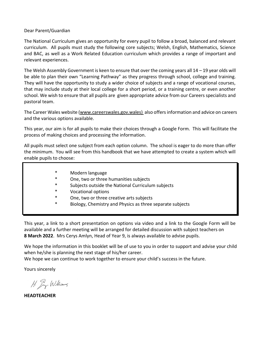#### Dear Parent/Guardian

The National Curriculum gives an opportunity for every pupil to follow a broad, balanced and relevant curriculum. All pupils must study the following core subjects; Welsh, English, Mathematics, Science and BAC, as well as a Work Related Education curriculum which provides a range of important and relevant experiences.

The Welsh Assembly Government is keen to ensure that over the coming years all 14 – 19 year olds will be able to plan their own "Learning Pathway" as they progress through school, college and training. They will have the opportunity to study a wider choice of subjects and a range of vocational courses, that may include study at their local college for a short period, or a training centre, or even another school. We wish to ensure that all pupils are given appropriate advice from our Careers specialists and pastoral team.

The Career Wales website [\(www.careerswales.gov.wales\)](http://www.careerswales.gov.wales/) also offers information and advice on careers and the various options available.

This year, our aim is for all pupils to make their choices through a Google Form. This will facilitate the process of making choices and processing the information.

All pupils must select one subject from each option column. The school is eager to do more than offer the minimum. You will see from this handbook that we have attempted to create a system which will enable pupils to choose:

- \* Modern language
- \* One, two or three humanities subjects
- Subjects outside the National Curriculum subjects
- Vocational options
- One, two or three creative arts subjects
- Biology, Chemistry and Physics as three separate subjects

This year, a link to a short presentation on options via video and a link to the Google Form will be available and a further meeting will be arranged for detailed discussion with subject teachers on **8 March 2022**. Mrs Cerys Amlyn, Head of Year 9, is always available to advise pupils.

We hope the information in this booklet will be of use to you in order to support and advise your child when he/she is planning the next stage of his/her career.

We hope we can continue to work together to ensure your child's success in the future.

Yours sincerely

H. Jy Williams

**HEADTEACHER**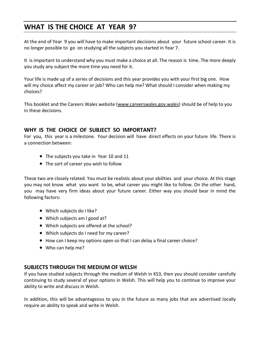# **WHAT IS THE CHOICE AT YEAR 9?**

At the end of Year 9 you will have to make important decisions about your future school career. It is no longer possible to go on studying all the subjects you started in Year 7.

It is important to understand why you must make a choice at all. The reason is time. The more deeply you study any subject the more time you need for it.

Your life is made up of a series of decisions and this year provides you with your first big one. How will my choice affect my career or job? Who can help me? What should I consider when making my choices?

This booklet and the Careers Wales website [\(www.careerswales.g](http://www.careerswales.com/)ov.wales) should be of help to you in these decisions.

# **WHY IS THE CHOICE OF SUBJECT SO IMPORTANT?**

For you, this year is a milestone. Your decision will have direct effects on your future life. There is a connection between:

- The subjects you take in Year 10 and 11
- The sort of career you wish to follow

These two are closely related. You must be realistic about your abilities and your choice. At this stage you may not know what you want to be, what career you might like to follow. On the other hand, you may have very firm ideas about your future career. Either way you should bear in mind the following factors:

- Which subjects do I like?
- Which subjects am I good at?
- Which subjects are offered at the school?
- Which subjects do I need for my career?
- How can I keep my options open so that I can delay a final career choice?
- Who can help me?

# **SUBJECTS THROUGH THE MEDIUM OF WELSH**

If you have studied subjects through the medium of Welsh in KS3, then you should consider carefully continuing to study several of your options in Welsh. This will help you to continue to improve your ability to write and discuss in Welsh.

In addition, this will be advantageous to you in the future as many jobs that are advertised locally require an ability to speak and write in Welsh.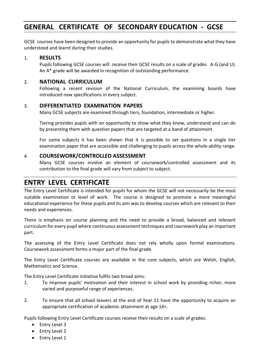# **GENERAL CERTIFICATE OF SECONDARY EDUCATION - GCSE**

GCSE courses have been designed to provide an opportunity for pupils to demonstrate what they have understood and learnt during their studies.

#### 1. **RESULTS**

Pupils following GCSE courses will receive their GCSE results on a scale of grades A-G (and U). An A\* grade will be awarded in recognition of outstanding performance.

#### 2. **NATIONAL CURRICULUM**

Following a recent revision of the National Curriculum, the examining boards have introduced new specifications in every subject.

#### 3. **DIFFERENTIATED EXAMINATION PAPERS**

Many GCSE subjects are examined through tiers, foundation, intermediate or higher.

Tiering provides pupils with an opportunity to show what they know, understand and can do by presenting them with question papers that are targeted at a band of attainment.

For some subjects it has been shown that it is possible to set questions in a single tier examination paper that are accessible and challenging to pupils across the whole ability range.

### 4. **COURSEWORK/CONTROLLED ASSESSMENT**

Many GCSE courses involve an element of coursework/controlled assessment and its contribution to the final grade will vary from subject to subject.

# **ENTRY LEVEL CERTIFICATE**

The Entry Level Certificate is intended for pupils for whom the GCSE will not necessarily be the most suitable examination or level of work. The course is designed to promote a more meaningful educational experience for these pupils and its aim was to develop courses which are relevant to their needs and experiences.

There is emphasis on course planning and the need to provide a broad, balanced and relevant curriculum for every pupil where continuous assessment techniques and coursework play an important part.

The assessing of the Entry Level Certificate does not rely wholly upon formal examinations. Coursework assessment forms a major part of the final grade.

The Entry Level Certificate courses are available in the core subjects, which are Welsh, English, Mathematics and Science.

The Entry Level Certificate initiative fulfils two broad aims:

- 1. To improve pupils' motivation and their interest in school work by providing richer, more varied and purposeful range of experiences.
- 2. To ensure that all school leavers at the end of Year 11 have the opportunity to acquire an appropriate certification of academic attainment at age 16+.

Pupils following Entry Level Certificate courses receive their results on a scale of grades:

- Entry Level 3
- Entry Level 2
- Entry Level 1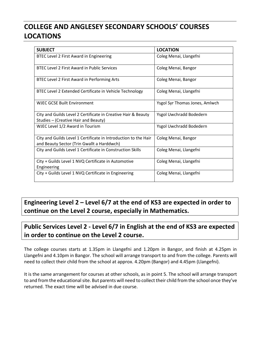# **COLLEGE AND ANGLESEY SECONDARY SCHOOLS' COURSES LOCATIONS**

| <b>SUBJECT</b>                                                                                                | <b>LOCATION</b>                |
|---------------------------------------------------------------------------------------------------------------|--------------------------------|
| BTEC Level 2 First Award in Engineering                                                                       | Coleg Menai, Llangefni         |
| <b>BTEC Level 2 First Award in Public Services</b>                                                            | Coleg Menai, Bangor            |
| BTEC Level 2 First Award in Performing Arts                                                                   | Coleg Menai, Bangor            |
| BTEC Level 2 Extended Certificate in Vehicle Technology                                                       | Coleg Menai, Llangefni         |
| WIEC GCSE Built Environment                                                                                   | Ysgol Syr Thomas Jones, Amlwch |
| City and Guilds Level 2 Certificate in Creative Hair & Beauty<br>Studies – (Creative Hair and Beauty)         | Ysgol Uwchradd Bodedern        |
| WJEC Level 1/2 Award in Tourism                                                                               | Ysgol Uwchradd Bodedern        |
| City and Guilds Level 1 Certificate in Introduction to the Hair<br>and Beauty Sector (Trin Gwallt a Harddwch) | Coleg Menai, Bangor            |
| City and Guilds Level 1 Certificate in Construction Skills                                                    | Coleg Menai, Llangefni         |
| City + Guilds Level 1 NVQ Certificate in Automotive<br>Engineering                                            | Coleg Menai, Llangefni         |
| City + Guilds Level 1 NVQ Certificate in Engineering                                                          | Coleg Menai, Llangefni         |

**Engineering Level 2 – Level 6/7 at the end of KS3 are expected in order to continue on the Level 2 course, especially in Mathematics.** 

# **Public Services Level 2 - Level 6/7 in English at the end of KS3 are expected in order to continue on the Level 2 course.**

The college courses starts at 1.35pm in Llangefni and 1.20pm in Bangor, and finish at 4.25pm in Llangefni and 4.10pm in Bangor. The school will arrange transport to and from the college. Parents will need to collect their child from the school at approx. 4.20pm (Bangor) and 4.45pm (Llangefni).

It is the same arrangement for courses at other schools, as in point 5. The school will arrange transport to and from the educational site. But parents will need to collect their child from the school once they've returned. The exact time will be advised in due course.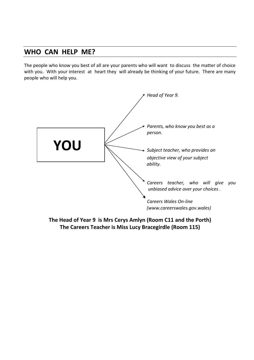# **WHO CAN HELP ME?**

The people who know you best of all are your parents who will want to discuss the matter of choice with you. With your interest at heart they will already be thinking of your future. There are many people who will help you.



**The Head of Year 9 is Mrs Cerys Amlyn (Room C11 and the Porth) The Careers Teacher is Miss Lucy Bracegirdle (Room 115)**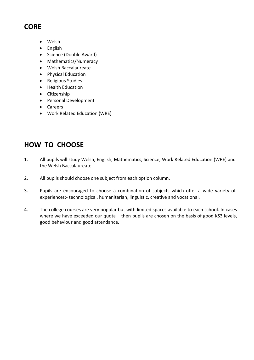# **CORE**

- Welsh
- English
- Science (Double Award)
- Mathematics/Numeracy
- Welsh Baccalaureate
- Physical Education
- Religious Studies
- Health Education
- Citizenship
- Personal Development
- Careers
- Work Related Education (WRE)

# **HOW TO CHOOSE**

- 1. All pupils will study Welsh, English, Mathematics, Science, Work Related Education (WRE) and the Welsh Baccalaureate.
- 2. All pupils should choose one subject from each option column.
- 3. Pupils are encouraged to choose a combination of subjects which offer a wide variety of experiences:- technological, humanitarian, linguistic, creative and vocational.
- 4. The college courses are very popular but with limited spaces available to each school. In cases where we have exceeded our quota - then pupils are chosen on the basis of good KS3 levels, good behaviour and good attendance.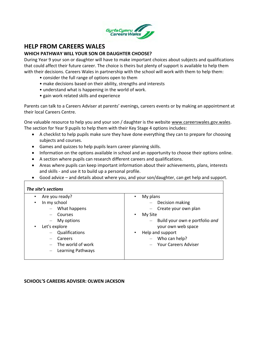

# **HELP FROM CAREERS WALES**

#### **WHICH PATHWAY WILL YOUR SON OR DAUGHTER CHOOSE?**

During Year 9 your son or daughter will have to make important choices about subjects and qualifications that could affect their future career. The choice is theirs but plenty of support is available to help them with their decisions. Careers Wales in partnership with the school will work with them to help them:

- consider the full range of options open to them
- make decisions based on their ability, strengths and interests
- understand what is happening in the world of work.
- gain work related skills and experience

Parents can talk to a Careers Adviser at parents' evenings, careers events or by making an appointment at their local Careers Centre.

One valuable resource to help you and your son / daughter is the website [www.careerswales.g](http://www.careerswales.com/)ov.wales. The section for Year 9 pupils to help them with their Key Stage 4 options includes:

- A checklist to help pupils make sure they have done everything they can to prepare for choosing subjects and courses.
- Games and quizzes to help pupils learn career planning skills.
- Information on the options available in school and an opportunity to choose their options online.
- A section where pupils can research different careers and qualifications.
- Areas where pupils can keep important information about their achievements, plans, interests and skills - and use it to build up a personal profile.
- Good advice and details about where you, and your son/daughter, can get help and support.

| Are you ready?<br>$\bullet$ | My plans<br>$\bullet$                                      |
|-----------------------------|------------------------------------------------------------|
| In my school<br>٠           | Decision making                                            |
| What happens                | Create your own plan<br>$\overline{\phantom{m}}$           |
| Courses                     | My Site<br>٠                                               |
| My options                  | Build your own e portfolio and<br>$\overline{\phantom{m}}$ |
| Let's explore<br>$\bullet$  | your own web space                                         |
| Qualifications              | Help and support<br>٠                                      |
| Careers                     | Who can help?<br>$\overline{\phantom{m}}$                  |
| The world of work           | <b>Your Careers Adviser</b>                                |
| Learning Pathways           |                                                            |

#### **SCHOOL'S CAREERS ADVISER: OLWEN JACKSON**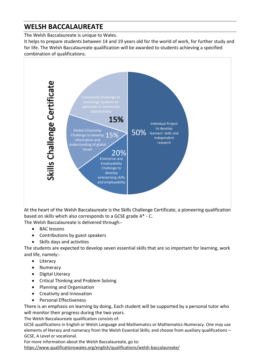# **WELSH BACCALAUREATE**

The Welsh Baccalaureate is unique to Wales.

It helps to prepare students between 14 and 19 years old for the world of work, for further study and for life. The Welsh Baccalaureate qualification will be awarded to students achieving a specified combination of qualifications.



At the heart of the Welsh Baccalaureate is the Skills Challenge Certificate, a pioneering qualification based on skills which also corresponds to a GCSE grade A\* - C. The Welsh Baccalaureate is delivered through:-

- BAC lessons
- Contributions by guest speakers
- Skills days and activities

The students are expected to develop seven essential skills that are so important for learning, work and life, namely:-

- Literacy
- Numeracy
- Digital Literacy
- Critical Thinking and Problem Solving
- Planning and Organisation
- Creativity and Innovation
- Personal Effectiveness

There is an emphasis on learning by doing**.** Each student will be supported by a personal tutor who will monitor their progress during the two years.

The Welsh Baccalaureate qualification consists of:

GCSE qualifications in English or Welsh Language and Mathematics or Mathematics-Numeracy. One may use elements of literacy and numeracy from the Welsh Essential Skills; and choose from auxiliary qualifications – GCSE, A Level or vocational.

For more information about the Welsh Baccalaureate, go to: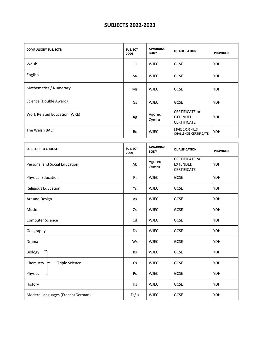# **SUBJECTS 2022-2023**

| <b>COMPULSORY SUBJECTS:</b>  | <b>SUBJECT</b><br><b>CODE</b> | <b>AWARDING</b><br><b>BODY</b> | <b>QUALIFICATION</b>                                    | <b>PROVIDER</b> |
|------------------------------|-------------------------------|--------------------------------|---------------------------------------------------------|-----------------|
| Welsh                        | C <sub>1</sub>                | <b>WJEC</b>                    | <b>GCSE</b>                                             | <b>YDH</b>      |
| English                      | Sa                            | <b>WJEC</b>                    | <b>GCSE</b>                                             | <b>YDH</b>      |
| Mathematics / Numeracy       | Ms                            | <b>WJEC</b>                    | <b>GCSE</b>                                             | <b>YDH</b>      |
| Science (Double Award)       | Gs                            | <b>WJEC</b>                    | <b>GCSE</b>                                             | <b>YDH</b>      |
| Work Related Education (WRE) | Ag                            | Agored<br>Cymru                | <b>CERTIFICATE or</b><br>EXTENDED<br><b>CERTIFICATE</b> | <b>YDH</b>      |
| The Welsh BAC                | Bc                            | <b>WJEC</b>                    | LEVEL 1/2/SKILLS<br><b>CHALLENGE CERTIFICATE</b>        | <b>YDH</b>      |

| <b>SUBJECTS TO CHOOSE:</b>         | <b>SUBJECT</b><br><b>CODE</b> | <b>AWARDING</b><br><b>BODY</b> | <b>QUALIFICATION</b>                                           | <b>PROVIDER</b> |
|------------------------------------|-------------------------------|--------------------------------|----------------------------------------------------------------|-----------------|
| Personal and Social Education      | Ab                            | Agored<br>Cymru                | <b>CERTIFICATE or</b><br><b>EXTENDED</b><br><b>CERTIFICATE</b> | <b>YDH</b>      |
| <b>Physical Education</b>          | Pt                            | <b>WJEC</b>                    | GCSE                                                           | <b>YDH</b>      |
| Religious Education                | Ys                            | <b>WJEC</b>                    | GCSE                                                           | <b>YDH</b>      |
| Art and Design                     | As                            | <b>WJEC</b>                    | GCSE                                                           | <b>YDH</b>      |
| Music                              | Zs                            | <b>WJEC</b>                    | GCSE                                                           | <b>YDH</b>      |
| <b>Computer Science</b>            | Cd                            | <b>WJEC</b>                    | GCSE                                                           | <b>YDH</b>      |
| Geography                          | Ds                            | <b>WJEC</b>                    | GCSE                                                           | <b>YDH</b>      |
| Drama                              | Ws                            | <b>WJEC</b>                    | GCSE                                                           | <b>YDH</b>      |
| Biology                            | <b>Bs</b>                     | <b>WJEC</b>                    | GCSE                                                           | <b>YDH</b>      |
| Chemistry<br><b>Triple Science</b> | Cs                            | <b>WJEC</b>                    | GCSE                                                           | <b>YDH</b>      |
| Physics                            | Ps                            | <b>WJEC</b>                    | GCSE                                                           | <b>YDH</b>      |
| History                            | Hs                            | <b>WJEC</b>                    | GCSE                                                           | <b>YDH</b>      |
| Modern Languages (French/German)   | Fs/Js                         | <b>WJEC</b>                    | GCSE                                                           | <b>YDH</b>      |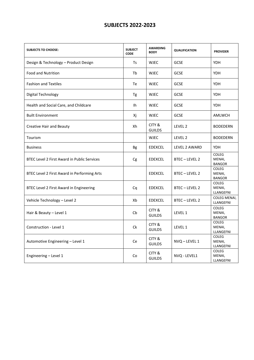# **SUBJECTS 2022-2023**

| <b>SUBJECTS TO CHOOSE:</b>                         | <b>SUBJECT</b><br><b>CODE</b> | <b>AWARDING</b><br><b>BODY</b> | <b>QUALIFICATION</b> | <b>PROVIDER</b>                         |
|----------------------------------------------------|-------------------------------|--------------------------------|----------------------|-----------------------------------------|
| Design & Technology - Product Design               | <b>Ts</b>                     | <b>WJEC</b>                    | <b>GCSE</b>          | <b>YDH</b>                              |
| Food and Nutrition                                 | Tb                            | <b>WJEC</b>                    | <b>GCSE</b>          | <b>YDH</b>                              |
| <b>Fashion and Textiles</b>                        | Te                            | <b>WJEC</b>                    | <b>GCSE</b>          | <b>YDH</b>                              |
| Digital Technology                                 | Tg                            | <b>WJEC</b>                    | <b>GCSE</b>          | <b>YDH</b>                              |
| Health and Social Care, and Childcare              | 1h                            | <b>WJEC</b>                    | <b>GCSE</b>          | <b>YDH</b>                              |
| <b>Built Environment</b>                           | Хj                            | <b>WJEC</b>                    | <b>GCSE</b>          | <b>AMLWCH</b>                           |
| <b>Creative Hair and Beauty</b>                    | Xh                            | CITY &<br><b>GUILDS</b>        | LEVEL 2              | <b>BODEDERN</b>                         |
| Tourism                                            |                               | <b>WJEC</b>                    | LEVEL 2              | <b>BODEDERN</b>                         |
| <b>Business</b>                                    | <b>Bg</b>                     | <b>EDEXCEL</b>                 | LEVEL 2 AWARD        | <b>YDH</b>                              |
| <b>BTEC Level 2 First Award in Public Services</b> | Cg                            | <b>EDEXCEL</b>                 | BTEC-LEVEL 2         | <b>COLEG</b><br>MENAI,<br><b>BANGOR</b> |
| BTEC Level 2 First Award in Performing Arts        |                               | <b>EDEXCEL</b>                 | BTEC-LEVEL 2         | <b>COLEG</b><br>MENAI,<br><b>BANGOR</b> |
| BTEC Level 2 First Award in Engineering            | Cq                            | <b>EDEXCEL</b>                 | BTEC-LEVEL 2         | COLEG<br>MENAI,<br>LLANGEFNI            |
| Vehicle Technology - Level 2                       | Xb                            | <b>EDEXCEL</b>                 | BTEC-LEVEL 2         | COLEG MENAI,<br>LLANGEFNI               |
| Hair & Beauty - Level 1                            | Cb                            | CITY &<br><b>GUILDS</b>        | LEVEL 1              | <b>COLEG</b><br>MENAI,<br><b>BANGOR</b> |
| Construction - Level 1                             | Ck                            | CITY &<br><b>GUILDS</b>        | LEVEL 1              | <b>COLEG</b><br>MENAI,<br>LLANGEFNI     |
| Automotive Engineering - Level 1                   | Ce                            | CITY &<br><b>GUILDS</b>        | NVQ - LEVEL 1        | COLEG<br>MENAI,<br>LLANGEFNI            |
| Engineering - Level 1                              | Co                            | CITY &<br><b>GUILDS</b>        | NVQ - LEVEL1         | COLEG<br>MENAI,<br>LLANGEFNI            |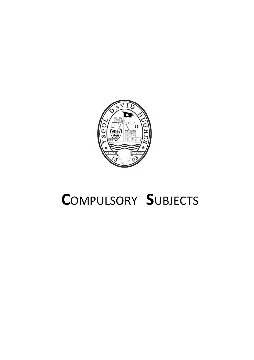

# **C**OMPULSORY **S**UBJECTS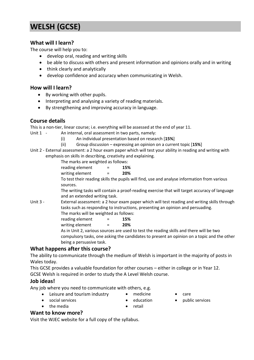# **WELSH (GCSE)**

# **What will I learn?**

The course will help you to:

- develop oral, reading and writing skills
- be able to discuss with others and present information and opinions orally and in writing
- think clearly and analytically
- develop confidence and accuracy when communicating in Welsh.

# **How will I learn?**

- By working with other pupils.
- Interpreting and analysing a variety of reading materials.
- By strengthening and improving accuracy in language.

# **Course details**

This is a non-tier, linear course; i.e. everything will be assessed at the end of year 11.

- Unit 1 An internal, oral assessment in two parts, namely:
	- (i) An individual presentation based on research [**15%**]
	- (ii) Group discussion expressing an opinion on a current topic [**15%**]
- Unit 2 External assessment: a 2 hour exam paper which will test your ability in reading and writing with emphasis on skills in describing, creativity and explaining.

The marks are weighted as follows:

reading element = **15%** writing element = **20%**

To test their reading skills the pupils will find, use and analyse information from various sources.

The writing tasks will contain a proof-reading exercise that will target accuracy of language and an extended writing task.

Unit 3 - External assessment: a 2 hour exam paper which will test reading and writing skills through tasks such as responding to instructions, presenting an opinion and persuading. The marks will be weighted as follows:

reading element = **15%**

writing element = **20%**

As in Unit 2, various sources are used to test the reading skills and there will be two compulsory tasks, one asking the candidates to present an opinion on a topic and the other being a persuasive task.

# **What happens after this course?**

The ability to communicate through the medium of Welsh is important in the majority of posts in Wales today.

This GCSE provides a valuable foundation for other courses – either in college or in Year 12. GCSE Welsh is required in order to study the A Level Welsh course.

# **Job ideas!**

Any job where you need to communicate with others, e.g.

- Leisure and tourism industry medicine care
	-
- 
- 
- social services education public services
- the media **•** retail

# **Want to know more?**

Visit the WJEC website for a full copy of the syllabus.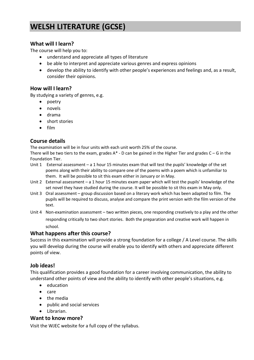# **WELSH LITERATURE (GCSE)**

# **What will I learn?**

The course will help you to:

- understand and appreciate all types of literature
- be able to interpret and appreciate various genres and express opinions
- develop the ability to identify with other people's experiences and feelings and, as a result, consider their opinions.

### **How will I learn?**

By studying a variety of genres, e.g.

- poetry
- novels
- drama
- short stories
- film

# **Course details**

The examination will be in four units with each unit worth 25% of the course.

There will be two tiers to the exam, grades  $A^*$  - D can be gained in the Higher Tier and grades  $C - G$  in the Foundation Tier.

- Unit 1 External assessment a 1 hour 15 minutes exam that will test the pupils' knowledge of the set poems along with their ability to compare one of the poems with a poem which is unfamiliar to them. It will be possible to sit this exam either in January or in May.
- Unit 2 External assessment a 1 hour 15 minutes exam paper which will test the pupils' knowledge of the set novel they have studied during the course. It will be possible to sit this exam in May only.
- Unit 3 Oral assessment group discussion based on a literary work which has been adapted to film. The pupils will be required to discuss, analyse and compare the print version with the film version of the text.
- Unit 4 Non-examination assessment two written pieces, one responding creatively to a play and the other responding critically to two short stories. Both the preparation and creative work will happen in school.

# **What happens after this course?**

Success in this examination will provide a strong foundation for a college / A Level course. The skills you will develop during the course will enable you to identify with others and appreciate different points of view.

# **Job ideas!**

This qualification provides a good foundation for a career involving communication, the ability to understand other points of view and the ability to identify with other people's situations, e.g.

- education
- care
- the media
- public and social services
- Librarian.

# **Want to know more?**

Visit the WJEC website for a full copy of the syllabus.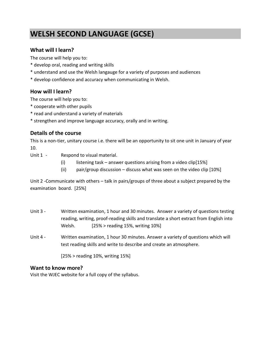# **WELSH SECOND LANGUAGE (GCSE)**

# **What will I learn?**

The course will help you to:

- \* develop oral, reading and writing skills
- \* understand and use the Welsh langauge for a variety of purposes and audiences
- \* develop confidence and accuracy when communicating in Welsh.

# **How will I learn?**

The course will help you to:

- \* cooperate with other pupils
- \* read and understand a variety of materials
- \* strengthen and improve language accuracy, orally and in writing.

# **Details of the course**

This is a non-tier, unitary course i.e. there will be an opportunity to sit one unit in January of year 10.

- Unit 1 Respond to visual material.
	- (i) listening task answer questions arising from a video clip $[15\%]$
	- (ii) pair/group discussion discuss what was seen on the video clip [10%]

Unit 2 -Communicate with others – talk in pairs/groups of three about a subject prepared by the examination board. [25%]

- Unit 3 Written examination, 1 hour and 30 minutes. Answer a variety of questions testing reading, writing, proof-reading skills and translate a short extract from English into Welsh. [25% > reading 15%, writing 10%]
- Unit 4 Written examination, 1 hour 30 minutes. Answer a variety of questions which will test reading skills and write to describe and create an atmosphere.

[25% > reading 10%, writing 15%]

# **Want to know more?**

Visit the WJEC website for a full copy of the syllabus.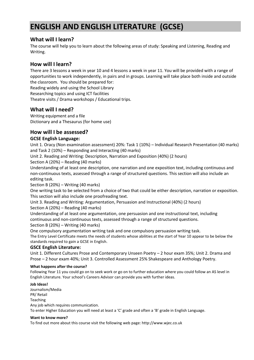# **ENGLISH AND ENGLISH LITERATURE (GCSE)**

# **What will I learn?**

The course will help you to learn about the following areas of study: Speaking and Listening, Reading and Writing.

# **How will I learn?**

There are 3 lessons a week in year 10 and 4 lessons a week in year 11. You will be provided with a range of opportunities to work independently, in pairs and in groups. Learning will take place both inside and outside the classroom. You should be prepared for:

Reading widely and using the School Library

Researching topics and using ICT facilities

Theatre visits / Drama workshops / Educational trips.

# **What will I need?**

Writing equipment and a file Dictionary and a Thesaurus (for home use)

# **How will I be assessed?**

### **GCSE English Language:**

Unit 1. Oracy (Non examination assessment) 20%: Task 1 (10%) – Individual Research Presentation (40 marks) and Task 2 (10%) – Responding and Interacting (40 marks)

Unit 2. Reading and Writing: Description, Narration and Exposition (40%) (2 hours)

Section A (20%) – Reading (40 marks)

Understanding of at least one description, one narration and one exposition text, including continuous and non-continuous texts, assessed through a range of structured questions. This section will also include an editing task.

Section B (20%) – Writing (40 marks)

One writing task to be selected from a choice of two that could be either description, narration or exposition. This section will also include one proofreading text.

Unit 3. Reading and Writing: Argumentation, Persuasion and Instructional (40%) (2 hours)

Section A (20%) – Reading (40 marks)

Understanding of at least one argumentation, one persuasion and one instructional text, including continuous and non-continuous texts, assessed through a range of structured questions. Section B (20%) – Writing (40 marks)

One compulsory argumentation writing task and one compulsory persuasion writing task. The Entry Level Certificate meets the needs of students whose abilities at the start of Year 10 appear to be below the standards required to gain a GCSE in English.

#### **GSCE English Literature:**

Unit 1. Different Cultures Prose and Contemporary Unseen Poetry – 2 hour exam 35%; Unit 2. Drama and Prose – 2 hour exam 40%; Unit 3. Controlled Assessment 25% Shakespeare and Anthology Poetry.

#### **What happens after the course?**

Following Year 11 you could go on to seek work or go on to further education where you could follow an AS level in English Literature. Your school's Careers Advisor can provide you with further ideas.

#### **Job Ideas!**

Journalism/Media PR/ Retail Teaching Any job which requires communication. To enter Higher Education you will need at least a 'C' grade and often a 'B' grade in English Language.

#### **Want to know more?**

To find out more about this course visit the following web page: http://www.wjec.co.uk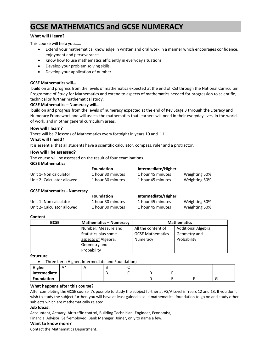# **GCSE MATHEMATICS and GCSE NUMERACY**

#### **What will I learn?**

This course will help you……

- Extend your mathematical knowledge in written and oral work in a manner which encourages confidence, enjoyment and perseverance.
- Know how to use mathematics efficiently in everyday situations.
- Develop your problem solving skills.
- Develop your application of number.

#### **GCSE Mathematics will…**

build on and progress from the levels of mathematics expected at the end of KS3 through the National Curriculum Programme of Study for Mathematics and extend to aspects of mathematics needed for progression to scientific, technical or further mathematical study.

#### **GCSE Mathematics – Numeracy will…**

build on and progress from the levels of numeracy expected at the end of Key Stage 3 through the Literacy and Numeracy Framework and will assess the mathematics that learners will need in their everyday lives, in the world of work, and in other general curriculum areas.

#### **How will I learn?**

There will be 7 lessons of Mathematics every fortnight in years 10 and 11.

#### **What will I need?**

It is essential that all students have a scientific calculator, compass, ruler and a protractor.

#### **How will I be assessed?**

The course will be assessed on the result of four examinations.

#### **GCSE Mathematics**

|                            | <b>Foundation</b> | Intermediate/Higher |               |
|----------------------------|-------------------|---------------------|---------------|
| Unit 1- Non calculator     | 1 hour 30 minutes | 1 hour 45 minutes   | Weighting 50% |
| Unit 2- Calculator allowed | 1 hour 30 minutes | 1 hour 45 minutes   | Weighting 50% |

#### **GCSE Mathematics - Numeracy**

|                            | <b>Foundation</b> | Intermediate/Higher |               |
|----------------------------|-------------------|---------------------|---------------|
| Unit 1- Non calculator     | 1 hour 30 minutes | 1 hour 45 minutes   | Weighting 50% |
| Unit 2- Calculator allowed | 1 hour 30 minutes | 1 hour 45 minutes   | Weighting 50% |

#### **Content**

| <b>GCSE</b> | <b>Mathematics - Numeracy</b> | <b>Mathematics</b>        |                     |
|-------------|-------------------------------|---------------------------|---------------------|
|             | Number, Measure and           | All the content of        | Additional Algebra, |
|             | Statistics plus some          | <b>GCSE Mathematics -</b> | Geometry and        |
|             | aspects of Algebra,           | Numeracy                  | Probability         |
|             | Geometry and                  |                           |                     |
|             | Probability                   |                           |                     |

#### **Structure**

• Three tiers (Higher, Intermediate and Foundation)

| Higher            | ^ * | ╌   |     |  |   |
|-------------------|-----|-----|-----|--|---|
| Intermediate      |     | . . | . . |  |   |
| <b>Foundation</b> |     |     |     |  | ◡ |

#### **What happens after this course?**

After completing the GCSE course it's possible to study the subject further at AS/A Level in Years 12 and 13. If you don't wish to study the subject further, you will have at least gained a solid mathematical foundation to go on and study other subjects which are mathematically related.

#### **Job Ideas!**

Accountant, Actuary, Air traffic control, Building Technician, Engineer, Economist,

Financial Advisor, Self-employed, Bank Manager, Joiner, only to name a few.

#### **Want to know more?**

Contact the Mathematics Department.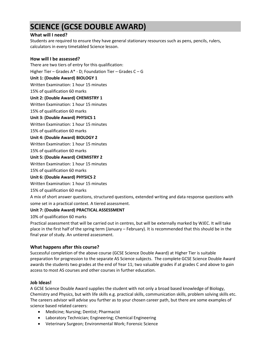# **SCIENCE (GCSE DOUBLE AWARD)**

#### **What will I need?**

Students are required to ensure they have general stationary resources such as pens, pencils, rulers, calculators in every timetabled Science lesson.

#### **How will I be assessed?**

There are two tiers of entry for this qualification: Higher Tier – Grades A\* - D; Foundation Tier – Grades C – G **Unit 1: (Double Award) BIOLOGY 1** Written Examination: 1 hour 15 minutes 15% of qualification 60 marks **Unit 2: (Double Award) CHEMISTRY 1** Written Examination: 1 hour 15 minutes 15% of qualification 60 marks **Unit 3: (Double Award) PHYSICS 1** Written Examination: 1 hour 15 minutes 15% of qualification 60 marks **Unit 4: (Double Award) BIOLOGY 2** Written Examination: 1 hour 15 minutes 15% of qualification 60 marks **Unit 5: (Double Award) CHEMISTRY 2**

Written Examination: 1 hour 15 minutes

15% of qualification 60 marks

#### **Unit 6: (Double Award) PHYSICS 2**

Written Examination: 1 hour 15 minutes

#### 15% of qualification 60 marks

A mix of short answer questions, structured questions, extended writing and data response questions with some set in a practical context. A tiered assessment.

#### **Unit 7: (Double Award) PRACTICAL ASSESSMENT**

10% of qualification 60 marks

Practical assessment that will be carried out in centres, but will be externally marked by WJEC. It will take place in the first half of the spring term (January – February). It is recommended that this should be in the final year of study. An untiered assessment.

#### **What happens after this course?**

Successful completion of the above course (GCSE Science Double Award) at Higher Tier is suitable preparation for progression to the separate AS Science subjects. The complete GCSE Science Double Award awards the students two grades at the end of Year 11; two valuable grades if at grades C and above to gain access to most AS courses and other courses in further education.

#### **Job Ideas!**

A GCSE Science Double Award supplies the student with not only a broad based knowledge of Biology, Chemistry and Physics, but with life skills e.g. practical skills, communication skills, problem solving skills etc. The careers advisor will advise you further as to your chosen career path, but there are some examples of science based related careers:

- Medicine; Nursing; Dentist; Pharmacist
- Laboratory Technician; Engineering; Chemical Engineering
- Veterinary Surgeon; Environmental Work; Forensic Science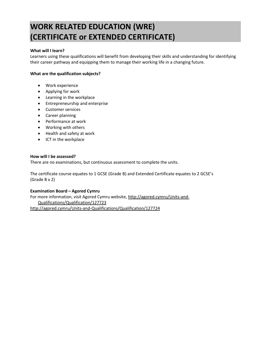# **WORK RELATED EDUCATION (WRE) (CERTIFICATE or EXTENDED CERTIFICATE)**

#### **What will I learn?**

Learners using these qualifications will benefit from developing their skills and understanding for identifying their career pathway and equipping them to manage their working life in a changing future.

#### **What are the qualification subjects?**

- Work experience
- Applying for work
- Learning in the workplace
- Entrepreneurship and enterprise
- Customer services
- Career planning
- Performance at work
- Working with others
- Health and safety at work
- ICT in the workplace

#### **How will I be assessed?**

There are no examinations, but continuous assessment to complete the units.

The certificate course equates to 1 GCSE (Grade B) and Extended Certificate equates to 2 GCSE's (Grade B x 2)

#### **Examination Board – Agored Cymru**

For more information, visit Agored Cymru website, [http://agored.cymru/Units-and-](http://agored.cymru/Units-and-Qualifications/Qualification/127723)[Qualifications/Qualification/127723](http://agored.cymru/Units-and-Qualifications/Qualification/127723) <http://agored.cymru/Units-and-Qualifications/Qualification/127724>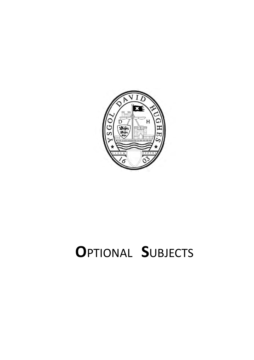

# **O**PTIONAL **S**UBJECTS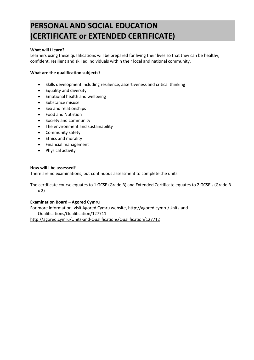# **PERSONAL AND SOCIAL EDUCATION (CERTIFICATE or EXTENDED CERTIFICATE)**

#### **What will I learn?**

Learners using these qualifications will be prepared for living their lives so that they can be healthy, confident, resilient and skilled individuals within their local and national community.

#### **What are the qualification subjects?**

- Skills development including resilience, assertiveness and critical thinking
- Equality and diversity
- Emotional health and wellbeing
- Substance misuse
- Sex and relationships
- Food and Nutrition
- Society and community
- The environment and sustainability
- Community safety
- Ethics and morality
- Financial management
- Physical activity

#### **How will I be assessed?**

There are no examinations, but continuous assessment to complete the units.

The certificate course equates to 1 GCSE (Grade B) and Extended Certificate equates to 2 GCSE's (Grade B x 2)

#### **Examination Board – Agored Cymru**

For more information, visit Agored Cymru website, [http://agored.cymru/Units-and-](http://agored.cymru/Units-and-Qualifications/Qualification/127711)[Qualifications/Qualification/127711](http://agored.cymru/Units-and-Qualifications/Qualification/127711) <http://agored.cymru/Units-and-Qualifications/Qualification/127712>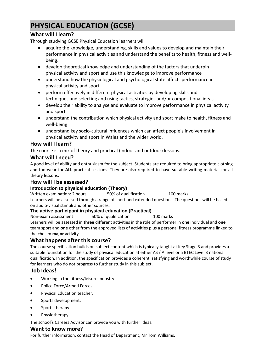# **PHYSICAL EDUCATION (GCSE)**

# **What will I learn?**

Through studying GCSE Physical Education learners will

- acquire the knowledge, understanding, skills and values to develop and maintain their performance in physical activities and understand the benefits to health, fitness and wellbeing.
- develop theoretical knowledge and understanding of the factors that underpin physical activity and sport and use this knowledge to improve performance
- understand how the physiological and psychological state affects performance in physical activity and sport
- perform effectively in different physical activities by developing skills and techniques and selecting and using tactics, strategies and/or compositional ideas
- develop their ability to analyse and evaluate to improve performance in physical activity and sport
- understand the contribution which physical activity and sport make to health, fitness and well-being
- understand key socio-cultural influences which can affect people's involvement in physical activity and sport in Wales and the wider world.

# **How will I learn?**

The course is a mix of theory and practical (indoor and outdoor) lessons.

# **What will I need?**

A good level of ability and enthusiasm for the subject. Students are required to bring appropriate clothing and footwear for **ALL** practical sessions. They are also required to have suitable writing material for all theory lessons.

# **How will I be assessed?**

# **Introduction to physical education (Theory)**

Written examination: 2 hours 50% of qualification 100 marks Learners will be assessed through a range of short and extended questions. The questions will be based on audio-visual stimuli and other sources.

# **The active participant in physical education (Practical)**

Non-exam assessment 50% of qualification 100 marks

Learners will be assessed in **three** different activities in the role of performer in **one** individual and **one**  team sport and **one** other from the approved lists of activities plus a personal fitness programme linked to the chosen **major** activity.

# **What happens after this course?**

The course specification builds on subject content which is typically taught at Key Stage 3 and provides a suitable foundation for the study of physical education at either AS / A level or a BTEC Level 3 national qualification. In addition, the specification provides a coherent, satisfying and worthwhile course of study for learners who do not progress to further study in this subject.

# **Job Ideas!**

- Working in the fitness/leisure industry.
- Police Force/Armed Forces
- Physical Education teacher.
- Sports development.
- Sports therapy.
- Physiotherapy.

The school's Careers Advisor can provide you with further ideas.

# **Want to know more?**

For further information, contact the Head of Department, Mr Tom Williams.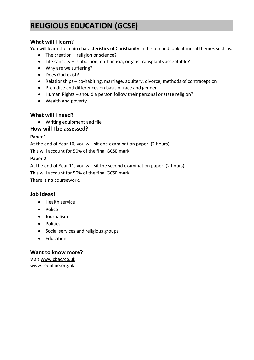# **RELIGIOUS EDUCATION (GCSE)**

# **What will I learn?**

You will learn the main characteristics of Christianity and Islam and look at moral themes such as:

- The creation religion or science?
- Life sanctity is abortion, euthanasia, organs transplants acceptable?
- Why are we suffering?
- Does God exist?
- Relationships co-habiting, marriage, adultery, divorce, methods of contraception
- Prejudice and differences on basis of race and gender
- Human Rights should a person follow their personal or state religion?
- Wealth and poverty

# **What will I need?**

• Writing equipment and file

# **How will I be assessed?**

# **Paper 1**

At the end of Year 10, you will sit one examination paper. (2 hours)

This will account for 50% of the final GCSE mark.

# **Paper 2**

At the end of Year 11, you will sit the second examination paper. (2 hours) This will account for 50% of the final GCSE mark.

There is **no** coursework.

# **Job Ideas!**

- Health service
- Police
- Journalism
- Politics
- Social services and religious groups
- Education

# **Want to know more?**

Visit[:www.cbac/co.uk](http://www.cbac/co.uk) [www.reonline.org.uk](http://www.reonline.org.uk/)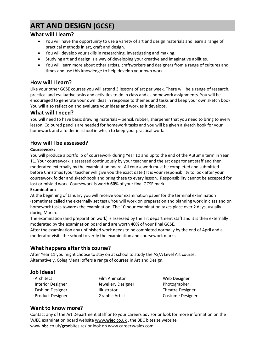# **ART AND DESIGN (GCSE)**

### **What will I learn?**

- You will have the opportunity to use a variety of art and design materials and learn a range of practical methods in art, craft and design.
- You will develop your skills in researching, investigating and making.
- Studying art and design is a way of developing your creative and imaginative abilities.
- You will learn more about other artists, craftworkers and designers from a range of cultures and times and use this knowledge to help develop your own work.

# **How will I learn?**

Like your other GCSE courses you will attend 3 lessons of art per week. There will be a range of research, practical and evaluative tasks and activities to do in class and as homework assignments. You will be encouraged to generate your own ideas in response to themes and tasks and keep your own sketch book. You will also reflect on and evaluate your ideas and work as it develops.

### **What will I need?**

You will need to have basic drawing materials – pencil, rubber, sharpener that you need to bring to every lesson. Coloured pencils are needed for homework tasks and you will be given a sketch book for your homework and a folder in school in which to keep your practical work.

# **How will I be assessed?**

#### **Coursework:**

You will produce a portfolio of coursework during Year 10 and up to the end of the Autumn term in Year 11. Your coursework is assessed continuously by your teacher and the art department staff and then moderated externally by the examination board. All coursework must be completed and submitted before Christmas (your teacher will give you the exact date.) It is your responsibility to look after your coursework folder and sketchbook and bring these to every lesson. Responsibility cannot be accepted for lost or mislaid work. Coursework is worth **60%** of your final GCSE mark.

#### **Examination:**

At the beginning of January you will receive your examination paper for the terminal examination (sometimes called the externally set test). You will work on preparation and planning work in class and on homework tasks towards the examination. The 10 hour examination takes place over 2 days, usually during March.

The examination (and preparation work) is assessed by the art department staff and it is then externally moderated by the examination board and are worth **40%** of your final GCSE.

After the examination any unfinished work needs to be completed normally by the end of April and a moderator visits the school to verify the examination and coursework marks.

# **What happens after this course?**

After Year 11 you might choose to stay on at school to study the AS/A Level Art course. Alternatively, Coleg Menai offers a range of courses in Art and Design.

# **Job Ideas!**

- 
- 
- ∙ Architect ∙ Film Animator ∙ Web Designer
- 
- ∙ Interior Designer ∙ Jewellery Designer ∙ Photographer
- ∙ Fashion Designer ∙ Illustrator ∙ Theatre Designer
- ∙ Product Designer ∙ Graphic Artist ∙ Costume Designer
- 
- 
- 
- 
- 
- 
- 
- **Want to know more?**

Contact any of the Art Department Staff or to your careers advisor or look for more information on the WJEC examination board websit[e www.](http://www.wjec.co.uk/)**wjec**.co.uk , the BBC bitesize website www.**bbc**.co.uk/**gcse**[bitesize/](http://www.bbc.co.uk/gcsebitesize/) or look on www.careerswales.com.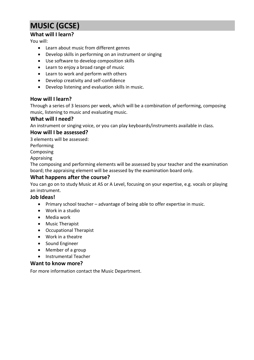# **MUSIC (GCSE)**

# **What will I learn?**

You will:

- Learn about music from different genres
- Develop skills in performing on an instrument or singing
- Use software to develop composition skills
- Learn to enjoy a broad range of music
- Learn to work and perform with others
- Develop creativity and self-confidence
- Develop listening and evaluation skills in music.

### **How will I learn?**

Through a series of 3 lessons per week, which will be a combination of performing, composing music, listening to music and evaluating music.

#### **What will I need?**

An instrument or singing voice, or you can play keyboards/instruments available in class.

### **How will I be assessed?**

3 elements will be assessed:

Performing

Composing

Appraising

The composing and performing elements will be assessed by your teacher and the examination board; the appraising element will be assessed by the examination board only.

### **What happens after the course?**

You can go on to study Music at AS or A Level, focusing on your expertise, e.g. vocals or playing an instrument.

#### **Job Ideas!**

- Primary school teacher advantage of being able to offer expertise in music.
- Work in a studio
- Media work
- Music Therapist
- Occupational Therapist
- Work in a theatre
- Sound Engineer
- Member of a group
- Instrumental Teacher

#### **Want to know more?**

For more information contact the Music Department.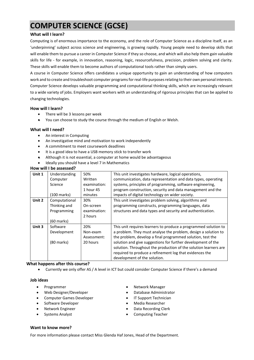# **COMPUTER SCIENCE (GCSE)**

#### **What will I learn?**

Computing is of enormous importance to the economy, and the role of Computer Science as a discipline itself, as an 'underpinning' subject across science and engineering, is growing rapidly. Young people need to develop skills that will enable them to pursue a career in Computer Science if they so choose, and which will also help them gain valuable skills for life - for example, in innovation, reasoning, logic, resourcefulness, precision, problem solving and clarity. These skills will enable them to become authors of computational tools rather than simply users.

A course in Computer Science offers candidates a unique opportunity to gain an understanding of how computers work and to create and troubleshoot computer programs for real-life purposes relating to their own personal interests. Computer Science develops valuable programming and computational thinking skills, which are increasingly relevant to a wide variety of jobs. Employers want workers with an understanding of rigorous principles that can be applied to changing technologies.

#### **How will I learn?**

- There will be 3 lessons per week
- You can choose to study the course through the medium of English or Welsh.

#### **What will I need?**

- An interest in Computing
- An investigative mind and motivation to work independently
- A commitment to meet coursework deadlines
- It is a good idea to have a USB memory stick to transfer work
- Although it is not essential, a computer at home would be advantageous
- Ideally you should have a level 7 in Mathematics

| Unit 1 | Understanding         | 50%          | This unit investigates hardware, logical operations,             |
|--------|-----------------------|--------------|------------------------------------------------------------------|
|        | Computer              | Written      | communication, data representation and data types, operating     |
|        | Science               | examination: | systems, principles of programming, software engineering,        |
|        |                       | 1 hour 45    | program construction, security and data management and the       |
|        | $(100 \text{ marks})$ | minutes      | impacts of digital technology on wider society.                  |
| Unit 2 | Computational         | 30%          | This unit investigates problem solving, algorithms and           |
|        | Thinking and          | On-screen    | programming constructs, programming languages, data              |
|        | Programming           | examination: | structures and data types and security and authentication.       |
|        |                       | 2 hours      |                                                                  |
|        | $(60$ marks)          |              |                                                                  |
| Unit 3 | Software              | 20%          | This unit requires learners to produce a programmed solution to  |
|        | Development           | Non-exam     | a problem. They must analyse the problem, design a solution to   |
|        |                       | Assessment:  | the problem, develop a final programmed solution, test the       |
|        | $(80$ marks)          | 20 hours     | solution and give suggestions for further development of the     |
|        |                       |              | solution. Throughout the production of the solution learners are |
|        |                       |              | required to produce a refinement log that evidences the          |
|        |                       |              | development of the solution.                                     |

#### **What happens after this course?**

• Currently we only offer AS / A level in ICT but could consider Computer Science if there's a demand

#### **Job ideas**

- Programmer
- Web Designer/Developer
- Computer Games Developer
- Software Developer
- Network Engineer
- Systems Analyst
- Network Manager
- Database Administrator
- IT Support Technician
- Media Researcher
- Data Recording Clerk
- Computing Teacher

#### **Want to know more?**

For more information please contact Miss Glenda Haf Jones, Head of the Department.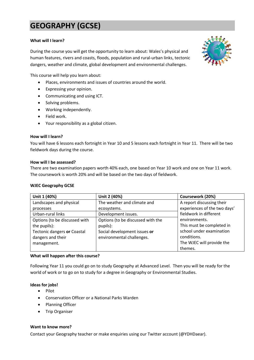# **GEOGRAPHY (GCSE)**

#### **What will I learn?**

During the course you will get the opportunity to learn about: Wales's physical and human features, rivers and coasts, floods, population and rural-urban links, tectonic dangers, weather and climate, global development and environmental challenges.

This course will help you learn about:

- Places, environments and issues of countries around the world.
- Expressing your opinion.
- Communicating and using ICT.
- Solving problems.
- Working independently.
- Field work.
- Your responsibility as a global citizen.

#### **How will I learn?**

You will have 6 lessons each fortnight in Year 10 and 5 lessons each fortnight in Year 11. There will be two fieldwork days during the course.

#### **How will I be assessed?**

There are two examination papers worth 40% each, one based on Year 10 work and one on Year 11 work. The coursework is worth 20% and will be based on the two days of fieldwork.

#### **WJEC Geography GCSE**

| Unit 1 (40%)                  | Unit 2 (40%)                      | Coursework (20%)             |
|-------------------------------|-----------------------------------|------------------------------|
| Landscapes and physical       | The weather and climate and       | A report discussing their    |
| processes                     | ecosystems.                       | experiences of the two days' |
| Urban-rural links             | Development issues.               | fieldwork in different       |
| Options (to be discussed with | Options (to be discussed with the | environments.                |
| the pupils):                  | pupils):                          | This must be completed in    |
| Tectonic dangers or Coastal   | Social development issues or      | school under examination     |
| dangers and their             | environmental challenges.         | conditions.                  |
| management.                   |                                   | The WJEC will provide the    |
|                               |                                   | themes.                      |

#### **What will happen after this course?**

Following Year 11 you could go on to study Geography at Advanced Level. Then you will be ready for the world of work or to go on to study for a degree in Geography or Environmental Studies.

#### **Ideas for jobs!**

- Pilot
- Conservation Officer or a National Parks Warden
- Planning Officer
- Trip Organiser

#### **Want to know more?**

Contact your Geography teacher or make enquiries using our Twitter account (@YDHDaear).

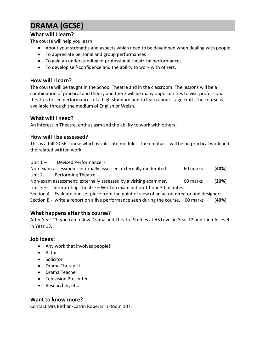# **DRAMA (GCSE)**

# **What will I learn?**

The course will help you learn:

- About your strengths and aspects which need to be developed when dealing with people
- To appreciate personal and group performances
- To gain an understanding of professional theatrical performances
- To develop self-confidence and the ability to work with others.

# **How will I learn?**

The course will be taught in the School Theatre and in the classroom. The lessons will be a combination of practical and theory and there will be many opportunities to visit professional theatres to see performances of a high standard and to learn about stage craft. The course is available through the medium of English or Welsh.

# **What will I need?**

An interest in Theatre, enthusiasm and the ability to work with others!

# **How will I be assessed?**

This is a full GCSE course which is split into modules. The emphasis will be on practical work and the related written work.

Unit 1 - Devised Performance -

Non-exam assessment: internally assessed, externally moderated. 60 marks (**40%**) Unit 2 - Performing Theatre -

Non-exam assessment: externally assessed by a visiting examiner. 60 marks (**20%**) Unit 3 – Interpreting Theatre – Written examination 1 hour 30 minutes:

Section A – Evaluate one set piece from the point of view of an actor, director and designer;

Section B - write a report on a live performance seen during the course. 60 marks (**40**%)

# **What happens after this course?**

After Year 11, you can follow Drama and Theatre Studies at AS Level in Year 12 and then A Level in Year 13.

# **Job ideas!**

- Any work that involves people!
- Actor
- Solicitor
- Drama Therapist
- Drama Teacher
- Television Presenter
- Researcher, etc.

# **Want to know more?**

Contact Mrs Bethan-Catrin Roberts in Room 107.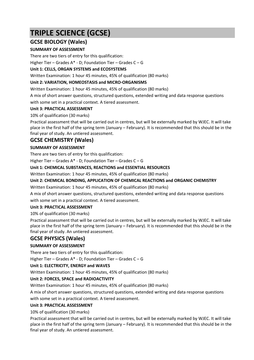# **TRIPLE SCIENCE (GCSE)**

# **GCSE BIOLOGY (Wales)**

### **SUMMARY OF ASSESSMENT**

There are two tiers of entry for this qualification:

Higher Tier – Grades A\* - D; Foundation Tier – Grades C – G

#### **Unit 1: CELLS, ORGAN SYSTEMS and ECOSYSTEMS**

Written Examination: 1 hour 45 minutes, 45% of qualification (80 marks)

#### **Unit 2: VARIATION, HOMEOSTASIS and MICRO-ORGANISMS**

Written Examination: 1 hour 45 minutes, 45% of qualification (80 marks)

A mix of short answer questions, structured questions, extended writing and data response questions with some set in a practical context. A tiered assessment.

#### **Unit 3: PRACTICAL ASSESSMENT**

10% of qualification (30 marks)

Practical assessment that will be carried out in centres, but will be externally marked by WJEC. It will take place in the first half of the spring term (January – February). It is recommended that this should be in the final year of study. An untiered assessment.

# **GCSE CHEMISTRY (Wales)**

### **SUMMARY OF ASSESSMENT**

There are two tiers of entry for this qualification:

Higher Tier – Grades A\* - D; Foundation Tier – Grades C – G

#### **Unit 1: CHEMICAL SUBSTANCES, REACTIONS and ESSENTIAL RESOURCES**

Written Examination: 1 hour 45 minutes, 45% of qualification (80 marks)

#### **Unit 2: CHEMICAL BONDING, APPLICATION OF CHEMICAL REACTIONS and ORGANIC CHEMISTRY**

Written Examination: 1 hour 45 minutes, 45% of qualification (80 marks)

A mix of short answer questions, structured questions, extended writing and data response questions with some set in a practical context. A tiered assessment.

#### **Unit 3: PRACTICAL ASSESSMENT**

#### 10% of qualification (30 marks)

Practical assessment that will be carried out in centres, but will be externally marked by WJEC. It will take place in the first half of the spring term (January – February). It is recommended that this should be in the final year of study. An untiered assessment.

# **GCSE PHYSICS (Wales)**

#### **SUMMARY OF ASSESSMENT**

There are two tiers of entry for this qualification:

Higher Tier – Grades A\* - D; Foundation Tier – Grades C – G

#### **Unit 1: ELECTRICITY, ENERGY and WAVES**

Written Examination: 1 hour 45 minutes, 45% of qualification (80 marks)

#### **Unit 2: FORCES, SPACE and RADIOACTIVITY**

Written Examination: 1 hour 45 minutes, 45% of qualification (80 marks)

A mix of short answer questions, structured questions, extended writing and data response questions

#### with some set in a practical context. A tiered assessment.

#### **Unit 3: PRACTICAL ASSESSMENT**

10% of qualification (30 marks)

Practical assessment that will be carried out in centres, but will be externally marked by WJEC. It will take place in the first half of the spring term (January – February). It is recommended that this should be in the final year of study. An untiered assessment.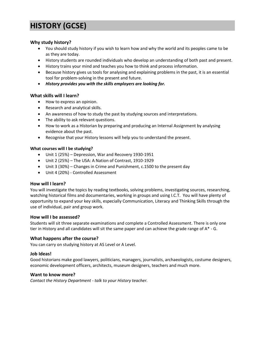# **HISTORY (GCSE)**

#### **Why study history?**

- You should study history if you wish to learn how and why the world and its peoples came to be as they are today.
- History students are rounded individuals who develop an understanding of both past and present.
- History trains your mind and teaches you how to think and process information.
- Because history gives us tools for analysing and explaining problems in the past, it is an essential tool for problem-solving in the present and future.
- *History provides you with the skills employers are looking for.*

#### **What skills will I learn?**

- How to express an opinion.
- Research and analytical skills.
- An awareness of how to study the past by studying sources and interpretations.
- The ability to ask relevant questions.
- How to work as a Historian by preparing and producing an Internal Assignment by analysing evidence about the past.
- Recognise that your History lessons will help you to understand the present.

#### **What courses will I be studying?**

- Unit 1 (25%) Depression, War and Recovery 1930-1951
- Unit 2 (25%) The USA: A Nation of Contrast, 1910-1929
- Unit 3 (30%) Changes in Crime and Punishment, c.1500 to the present day
- Unit 4 (20%) Controlled Assessment

#### **How will I learn?**

You will investigate the topics by reading textbooks, solving problems, investigating sources, researching, watching historical films and documentaries, working in groups and using I.C.T. You will have plenty of opportunity to expand your key skills, especially Communication, Literacy and Thinking Skills through the use of individual, pair and group work.

#### **How will I be assessed?**

Students will sit three separate examinations and complete a Controlled Assessment. There is only one tier in History and all candidates will sit the same paper and can achieve the grade range of A\* - G.

#### **What happens after the course?**

You can carry on studying history at AS Level or A Level.

#### **Job Ideas!**

Good historians make good lawyers, politicians, managers, journalists, archaeologists, costume designers, economic development officers, architects, museum designers, teachers and much more.

#### **Want to know more?**

*Contact the History Department - talk to your History teacher.*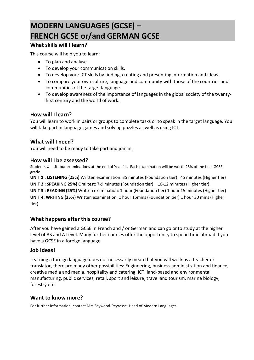# **MODERN LANGUAGES (GCSE) – FRENCH GCSE or/and GERMAN GCSE**

# **What skills will I learn?**

This course will help you to learn:

- To plan and analyse.
- To develop your communication skills.
- To develop your ICT skills by finding, creating and presenting information and ideas.
- To compare your own culture, language and community with those of the countries and communities of the target language.
- To develop awareness of the importance of languages in the global society of the twentyfirst century and the world of work.

# **How will I learn?**

You will learn to work in pairs or groups to complete tasks or to speak in the target language. You will take part in language games and solving puzzles as well as using ICT.

# **What will I need?**

You will need to be ready to take part and join in.

# **How will I be assessed?**

Students will sit four examinations at the end of Year 11. Each examination will be worth 25% of the final GCSE grade.

**UNIT 1 : LISTENING (25%)** Written examination: 35 minutes (Foundation tier) 45 minutes (Higher tier) **UNIT 2 : SPEAKING 25%)** Oral test: 7-9 minutes (Foundation tier) 10-12 minutes (Higher tier) **UNIT 3 : READING (25%)** Written examination: 1 hour (Foundation tier) 1 hour 15 minutes (Higher tier) **UNIT 4: WRITING (25%)** Written examination: 1 hour 15mins (Foundation tier) 1 hour 30 mins (Higher tier)

# **What happens after this course?**

After you have gained a GCSE in French and / or German and can go onto study at the higher level of AS and A Level. Many further courses offer the opportunity to spend time abroad if you have a GCSE in a foreign language.

# **Job Ideas!**

Learning a foreign language does not necessarily mean that you will work as a teacher or translator, there are many other possibilities: Engineering, business administration and finance, creative media and media, hospitality and catering, ICT, land-based and environmental, manufacturing, public services, retail, sport and leisure, travel and tourism, marine biology, forestry etc.

# **Want to know more?**

For further information, contact Mrs Saywood-Peyrasse, Head of Modern Languages.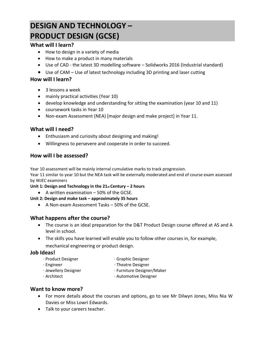# **DESIGN AND TECHNOLOGY – PRODUCT DESIGN (GCSE)**

# **What will I learn?**

- How to design in a variety of media
- How to make a product in many materials
- Use of CAD the latest 3D modelling software Solidworks 2016 (Industrial standard)
- Use of CAM Use of latest technology including 3D printing and laser cutting

# **How will I learn?**

- 3 lessons a week
- mainly practical activities (Year 10)
- develop knowledge and understanding for sitting the examination (year 10 and 11)
- coursework tasks in Year 10
- Non-exam Assessment (NEA) [major design and make project] in Year 11.

# **What will I need?**

- Enthusiasm and curiosity about designing and making!
- Willingness to persevere and cooperate in order to succeed.

# **How will I be assessed?**

Year 10 assessment will be mainly internal cumulative marks to track progression.

Year 11 similar to year 10 but the NEA task will be externally moderated and end of course exam assessed by WJEC examiners

**Unit 1: Design and Technology in the 21st Century – 2 hours**

• A written examination – 50% of the GCSE.

# **Unit 2: Design and make task – approximately 35 hours**

• A Non-exam Assessment Tasks – 50% of the GCSE.

# **What happens after the course?**

- The course is an ideal preparation for the D&T Product Design course offered at AS and A level in school.
- The skills you have learned will enable you to follow other courses in, for example,
- mechanical engineering or product design.

# **Job Ideas!**

- ∙ Product Designer ∙ Graphic Designer
- ∙ Engineer ∙ Theatre Designer
- 
- ∙ Jewellery Designer ∙ Furniture Designer/Maker
- 
- ∙ Architect ∙ Automotive Designer

# **Want to know more?**

- For more details about the courses and options, go to see Mr Dilwyn Jones, Miss Nia W Davies or Miss Lowri Edwards.
- Talk to your careers teacher.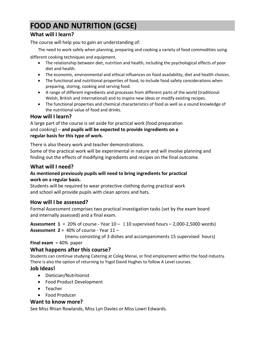# **FOOD AND NUTRITION (GCSE)**

# **What will I learn?**

The course will help you to gain an understanding of:

The need to work safely when planning, preparing and cooking a variety of food commodities using

different cooking techniques and equipment.

- The relationship between diet, nutrition and health, including the psychological effects of poor diet and health.
- The economic, environmental and ethical influences on food availability, diet and health choices.
- The functional and nutritional properties of food, to include food safety considerations when preparing, storing, cooking and serving food.
- A range of different ingredients and processes from different parts of the world (traditional Welsh, British and international) and to inspire new ideas or modify existing recipes.
- The functional properties and chemical characteristics of food as well as a sound knowledge of the nutritional value of food and drinks.

# **How will I learn?**

A large part of the course is set aside for practical work (food preparation and cooking) – **and pupils will be expected to provide ingredients on a regular basis for this type of work.** 

There is also theory work and teacher demonstrations. Some of the practical work will be experimental in nature and will involve planning and finding out the effects of modifying ingredients and recipes on the final outcome.

# **What will I need?**

# **As mentioned previously pupils will need to bring ingredients for practical work on a regular basis.**

Students will be required to wear protective clothing during practical work and school will provide pupils with clean aprons and hats.

# **How will I be assessed?**

Formal Assessment comprises two practical investigation tasks (set by the exam board and internally assessed) and a final exam.

**Assessment 1** = 20% of course - Year 10 – ( 10 supervised hours – 2,000-2,5000 words) **Assessment 2** = 40% of course - Year 11 –

(menu consisting of 3 dishes and accompaniments 15 supervised hours)

**Final exam** = 40% paper

# **What happens after this course?**

Students can continue studying Catering at Coleg Menai, or find employment within the food industry. There is also the option of returning to Ysgol David Hughes to follow A Level courses.

# **Job Ideas!**

- Dietician/Nutritionist
- Food Product Development
- Teacher
- Food Producer

# **Want to know more?**

See Miss Rhian Rowlands, Miss Lyn Davies or Miss Lowri Edwards.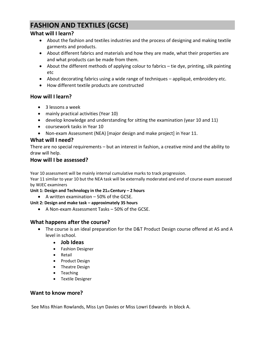# **FASHION AND TEXTILES (GCSE)**

# **What will I learn?**

- About the fashion and textiles industries and the process of designing and making textile garments and products.
- About different fabrics and materials and how they are made, what their properties are and what products can be made from them.
- About the different methods of applying colour to fabrics tie dye, printing, silk painting etc
- About decorating fabrics using a wide range of techniques appliqué, embroidery etc.
- How different textile products are constructed

# **How will I learn?**

- 3 lessons a week
- mainly practical activities (Year 10)
- develop knowledge and understanding for sitting the examination (year 10 and 11)
- coursework tasks in Year 10
- Non-exam Assessment (NEA) [major design and make project] in Year 11.

# **What will I need?**

There are no special requirements – but an interest in fashion, a creative mind and the ability to draw will help.

# **How will I be assessed?**

Year 10 assessment will be mainly internal cumulative marks to track progression.

Year 11 similar to year 10 but the NEA task will be externally moderated and end of course exam assessed by WJEC examiners

**Unit 1: Design and Technology in the 21st Century – 2 hours**

• A written examination – 50% of the GCSE.

# **Unit 2: Design and make task – approximately 35 hours**

• A Non-exam Assessment Tasks – 50% of the GCSE.

# **What happens after the course?**

- The course is an ideal preparation for the D&T Product Design course offered at AS and A level in school.
	- **Job Ideas**
	- Fashion Designer
	- Retail
	- Product Design
	- Theatre Design
	- Teaching
	- Textile Designer

# **Want to know more?**

See Miss Rhian Rowlands, Miss Lyn Davies or Miss Lowri Edwards in block A.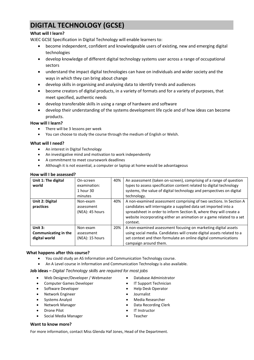# **DIGITAL TECHNOLOGY (GCSE)**

#### **What will I learn?**

WJEC GCSE Specification in Digital Technology will enable learners to:

- become independent, confident and knowledgeable users of existing, new and emerging digital technologies
- develop knowledge of different digital technology systems user across a range of occupational sectors
- understand the impact digital technologies can have on individuals and wider society and the ways in which they can bring about change
- develop skills in organising and analysing data to identify trends and audiences
- become creators of digital products, in a variety of formats and for a variety of purposes, that meet specified, authentic needs
- develop transferable skills in using a range of hardware and software
- develop their understanding of the systems development life cycle and of how ideas can become products.

#### **How will I learn?**

- There will be 3 lessons per week
- You can choose to study the course through the medium of English or Welsh.

#### **What will I need?**

- An interest in Digital Technology
- An investigative mind and motivation to work independently
- A commitment to meet coursework deadlines
- Although it is not essential, a computer or laptop at home would be advantageous

| How will I be assessed?                          |                                                   |     |                                                                                                                                                                                                                                                                                                 |  |  |  |  |
|--------------------------------------------------|---------------------------------------------------|-----|-------------------------------------------------------------------------------------------------------------------------------------------------------------------------------------------------------------------------------------------------------------------------------------------------|--|--|--|--|
| Unit 1: The digital<br>world                     | On-screen<br>examination:<br>1 hour 30<br>minutes | 40% | An assessment (taken on-screen), comprising of a range of question<br>types to assess specification content related to digital technology<br>systems, the value of digital technology and perspectives on digital<br>technology.                                                                |  |  |  |  |
| Unit 2: Digital<br>practices                     | Non-exam<br>assessment<br>(NEA): 45 hours         | 40% | A non-examined assessment comprising of two sections. In Section A<br>candidates will interrogate a supplied data set imported into a<br>spreadsheet in order to inform Section B, where they will create a<br>website incorporating either an animation or a game related to a set<br>context. |  |  |  |  |
| Unit 3:<br>Communicating in the<br>digital world | Non-exam<br>assessment<br>(NEA): 15 hours         | 20% | A non-examined assessment focusing on marketing digital assets<br>using social media. Candidates will create digital assets related to a<br>set context and then formulate an online digital communications<br>campaign around them.                                                            |  |  |  |  |

#### **What happens after this course?**

- You could study an AS Information and Communication Technology course.
- An A Level course in Information and Communication Technology is also available.

#### **Job ideas –** *Digital Technology skills are required for most jobs*

- Web Designer/Developer / Webmaster
- Computer Games Developer
- Software Developer
- Network Engineer
- Systems Analyst
- Network Manager
- Drone Pilot
- Social Media Manager
- Database Administrator
- IT Support Technician
- Help Desk Operator
- Journalist
- Media Researcher
- Data Recording Clerk
- IT Instructor
- **Teacher**

#### **Want to know more?**

For more information, contact Miss Glenda Haf Jones, Head of the Department.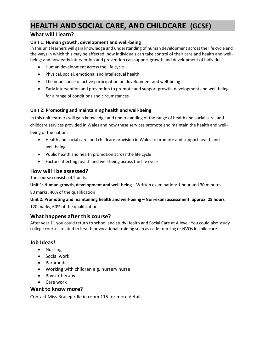# **HEALTH AND SOCIAL CARE, AND CHILDCARE (GCSE)**

# **What will I learn?**

### **Unit 1: Human growth, development and well-being**

In this unit learners will gain knowledge and understanding of human development across the life cycle and the ways in which this may be affected; how individuals can take control of their care and health and wellbeing; and how early intervention and prevention can support growth and development of individuals.

- Human development across the life cycle
- Physical, social, emotional and intellectual health
- The importance of active participation on development and well-being
- Early intervention and prevention to promote and support growth, development and well-being for a range of conditions and circumstances

### **Unit 2: Promoting and maintaining health and well-being**

In this unit learners will gain knowledge and understanding of the range of health and social care, and childcare services provided in Wales and how these services promote and maintain the health and wellbeing of the nation.

- Health and social care, and childcare provision in Wales to promote and support health and well-being
- Public health and health promotion across the life cycle
- Factors affecting health and well-being across the life cycle

# **How will I be assessed?**

The course consists of 2 units.

**Unit 1: Human growth, development and well-being** – Written examination: 1 hour and 30 minutes 80 marks, 40% of the qualification

**Unit 2: Promoting and maintaining health and well-being – Non-exam assessment: approx. 25 hours** 120 marks, 60% of the qualification

# **What happens after this course?**

After year 11 you could return to school and study Health and Social Care at A level. You could also study college courses related to health or vocational training such as cadet nursing or NVQs in child care.

# **Job Ideas!**

- Nursing
- Social work
- Paramedic
- Working with children e.g. nursery nurse
- Physiotherapy
- Care work

# **Want to know more?**

Contact Miss Bracegirdle in room 115 for more details.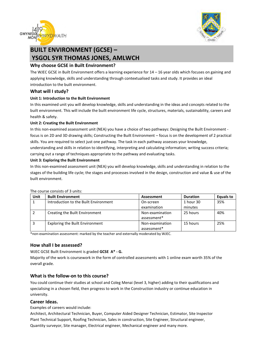



# **BUILT ENVIRONMENT (GCSE) – YSGOL SYR THOMAS JONES, AMLWCH**

#### **Why choose GCSE in Built Environment?**

The WJEC GCSE in Built Environment offers a learning experience for 14 – 16 year olds which focuses on gaining and applying knowledge, skills and understanding through contextualised tasks and study. It provides an ideal introduction to the built environment.

#### **What will I study?**

#### **Unit 1: Introduction to the Built Environment**

In this examined unit you will develop knowledge, skills and understanding in the ideas and concepts related to the built environment. This will include the built environment life cycle, structures, materials, sustainability, careers and health & safety.

#### **Unit 2: Creating the Built Environment**

In this non-examined assessment unit (NEA) you have a choice of two pathways: Designing the Built Environment focus is on 2D and 3D drawing skills; Constructing the Built Environment – focus is on the development of 2 practical skills. You are required to select just one pathway. The task in each pathway assesses your knowledge, understanding and skills in relation to identifying, interpreting and calculating information; writing success criteria; carrying out a range of techniques appropriate to the pathway and evaluating tasks.

#### **Unit 3: Exploring the Built Environment**

In this non-examined assessment unit (NEA) you will develop knowledge, skills and understanding in relation to the stages of the building life cycle; the stages and processes involved in the design, construction and value & use of the built environment.

| Unit | <b>Built Environment</b>               | Assessment                     | <b>Duration</b> | Equals to |
|------|----------------------------------------|--------------------------------|-----------------|-----------|
|      | Introduction to the Built Environment  | On-screen                      | 1 hour 30       | 35%       |
|      |                                        | examination                    | minutes         |           |
|      | Creating the Built Environment         | Non-examination<br>assessment* | 25 hours        | 40%       |
|      | <b>Exploring the Built Environment</b> | Non-examination<br>assessment* | 15 hours        | 25%       |

#### The course consists of 3 units:

\*non-examination assessment: marked by the teacher and externally moderated by WJEC.

#### **How shall I be assessed?**

WJEC GCSE Built Environment is graded **GCSE A\* - G.** 

Majority of the work is coursework in the form of controlled assessments with 1 online exam worth 35% of the overall grade.

#### **What is the follow-on to this course?**

You could continue their studies at school and Coleg Menai (level 3, higher) adding to their qualifications and specialising in a chosen field, then progress to work in the Construction industry or continue education in university.

#### **Career Ideas.**

Examples of careers would include:

Architect, Architectural Technician, Buyer, Computer Aided Designer Technician, Estimator, Site Inspector Plant Technical Support, Roofing Technician, Sales in construction, Site Engineer, Structural engineer, Quantity surveyor, Site manager, Electrical engineer, Mechanical engineer and many more.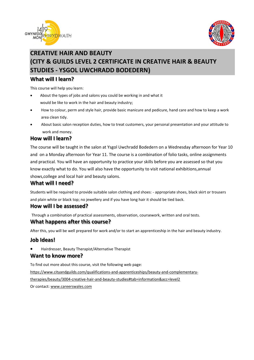



# **CREATIVE HAIR AND BEAUTY (CITY & GUILDS LEVEL 2 CERTIFICATE IN CREATIVE HAIR & BEAUTY STUDIES - YSGOL UWCHRADD BODEDERN)**

### **What will I learn?**

This course will help you learn:

- About the types of jobs and salons you could be working in and what it would be like to work in the hair and beauty industry;
- How to colour, perm and style hair, provide basic manicure and pedicure, hand care and how to keep a work area clean tidy.
- About basic salon reception duties, how to treat customers, your personal presentation and your attitude to work and money.

# **How will I learn?**

The course will be taught in the salon at Ysgol Uwchradd Bodedern on a Wednesday afternoon for Year 10 and on a Monday afternoon for Year 11. The course is a combination of folio tasks, online assignments and practical. You will have an opportunity to practice your skills before you are assessed so that you know exactly what to do. You will also have the opportunity to visit national exhibitions,annual shows,college and local hair and beauty salons.

# **What will I need?**

Students will be required to provide suitable salon clothing and shoes: - appropriate shoes, black skirt or trousers and plain white or black top; no jewellery and if you have long hair it should be tied back.

# **How will I be assessed?**

Through a combination of practical assessments, observation, coursework, written and oral tests.

# **What happens after this course?**

After this, you will be well prepared for work and/or to start an apprenticeship in the hair and beauty industry.

# **Job Ideas!**

• Hairdresser, Beauty Therapist/Alternative Therapist

# **Want to know more?**

To find out more about this course, visit the following web page:

[https://www.cityandguilds.com/qualifications-and-apprenticeships/beauty-and-complementary-](https://www.cityandguilds.com/qualifications-and-apprenticeships/beauty-and-complementary-therapies/beauty/3004-creative-hair-and-beauty-studies#tab=information&acc=level2)

[therapies/beauty/3004-creative-hair-and-beauty-studies#tab=information&acc=level2](https://www.cityandguilds.com/qualifications-and-apprenticeships/beauty-and-complementary-therapies/beauty/3004-creative-hair-and-beauty-studies#tab=information&acc=level2)

Or contact[: www.careerswales.com](http://www.careerswales.com/)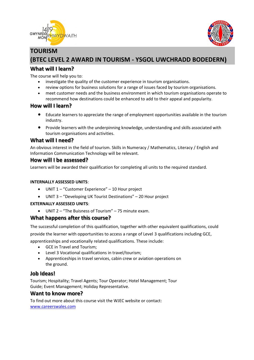



# **TOURISM (BTEC LEVEL 2 AWARD IN TOURISM - YSGOL UWCHRADD BODEDERN)**

# **What will I learn?**

The course will help you to:

- investigate the quality of the customer experience in tourism organisations.
- review options for business solutions for a range of issues faced by tourism organisations.
- meet customer needs and the business environment in which tourism organisations operate to recommend how destinations could be enhanced to add to their appeal and popularity.

# **How will I learn?**

- Educate learners to appreciate the range of employment opportunities available in the tourism industry.
- Provide learners with the underpinning knowledge, understanding and skills associated with tourism organisations and activities.

# **What will I need?**

An obvious interest in the field of tourism. Skills in Numeracy / Mathematics, Literacy / English and Information Communication Technology will be relevant.

#### **How will I be assessed?**

Learners will be awarded their qualification for completing all units to the required standard.

#### **INTERNALLY ASSESSED UNITS**:

- UNIT 1 "Customer Experience" 10 Hour project
- UNIT 3 "Developing UK Tourist Destinations" 20 Hour project

#### **EXTERNALLY ASSESSED UNITS**:

• UNIT 2 – "The Buisness of Tourism" – 75 minute exam.

#### **What happens after this course?**

The successful completion of this qualification, together with other equivalent qualifications, could provide the learner with opportunities to access a range of Level 3 qualifications including GCE, apprenticeships and vocationally related qualifications. These include:

- GCE in Travel and Tourism;
- Level 3 Vocational qualifications in travel/tourism;
- Apprenticeships in travel services, cabin crew or aviation operations on the ground.

# **Job Ideas!**

Tourism; Hospitality; Travel Agents; Tour Operator; Hotel Management; Tour Guide; Event Management; Holiday Representative.

#### **Want to know more?**

To find out more about this course visit the WJEC website or contact: [www.careerswales.com](http://www.careerswales.com/)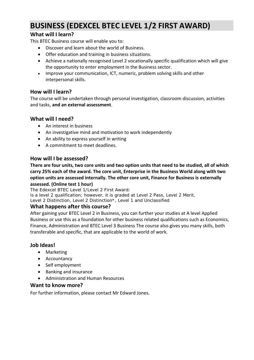# **BUSINESS (EDEXCEL BTEC LEVEL 1/2 FIRST AWARD)**

# **What will I learn?**

This BTEC Business course will enable you to:

- Discover and learn about the world of Business.
- Offer education and training in business situations.
- Achieve a nationally recognised Level 2 vocationally specific qualification which will give the opportunity to enter employment in the Business sector.
- Improve your communication, ICT, numeric, problem solving skills and other interpersonal skills.

# **How will I learn?**

The course will be undertaken through personal investigation, classroom discussion, activities and tasks, **and an external assessment**.

# **What will I need?**

- An interest in business
- An investigative mind and motivation to work independently
- An ability to express yourself in writing
- A commitment to meet deadlines.

# **How will I be assessed?**

**There are four units, two core units and two option units that need to be studied, all of which carry 25% each of the award. The core unit, Enterprise in the Business World along with two option units are assessed internally. The other core unit, Finance for Business is externally assessed. (Online test 1 hour)**

The Edexcel BTEC Level 1/Level 2 First Award: is a level 2 qualification; however, it is graded at Level 2 Pass, Level 2 Merit, Level 2 Distinction, Level 2 Distinction\*, Level 1 and Unclassified

# **What happens after this course?**

After gaining your BTEC Level 2 in Business, you can further your studies at A level Applied Business or use this as a foundation for other business related qualifications such as Economics, Finance, Administration and BTEC Level 3 Business The course also gives you many skills, both transferable and specific, that are applicable to the world of work.

# **Job Ideas!**

- Marketing
- Accountancy
- Self employment
- Banking and insurance
- Administration and Human Resources

# **Want to know more?**

For further information, please contact Mr Edward Jones.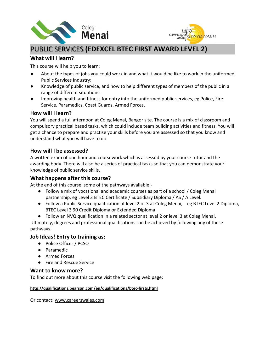



# PUBLIC SERVICES **(EDEXCEL BTEC FIRST AWARD LEVEL 2)**

# **What will I learn?**

This course will help you to learn:

- About the types of jobs you could work in and what it would be like to work in the uniformed Public Services Industry;
- Knowledge of public service, and how to help different types of members of the public in a range of different situations.
- Improving health and fitness for entry into the uniformed public services, eg Police, Fire Service, Paramedics, Coast Guards, Armed Forces.

# **How will I learn?**

You will spend a full afternoon at Coleg Menai, Bangor site. The course is a mix of classroom and compulsory practical based tasks, which could include team building activities and fitness. You will get a chance to prepare and practise your skills before you are assessed so that you know and understand what you will have to do.

# **How will I be assessed?**

A written exam of one hour and coursework which is assessed by your course tutor and the awarding body. There will also be a series of practical tasks so that you can demonstrate your knowledge of public service skills.

### **What happens after this course?**

At the end of this course, some of the pathways available:-

- Follow a mix of vocational and academic courses as part of a school / Coleg Menai partnership, eg Level 3 BTEC Certificate / Subsidiary Diploma / AS / A Level.
- Follow a Public Service qualification at level 2 or 3 at Coleg Menai, eg BTEC Level 2 Diploma, BTEC Level 3 90 Credit Diploma or Extended Diploma
- Follow an NVQ qualification in a related sector at level 2 or level 3 at Coleg Menai. Ultimately, degrees and professional qualifications can be achieved by following any of these pathways.

#### **Job Ideas! Entry to training as:**

- Police Officer / PCSO
- Paramedic
- Armed Forces
- Fire and Rescue Service

#### **Want to know more?**

To find out more about this course visit the following web page:

#### **<http://qualifications.pearson.com/en/qualifications/btec-firsts.html>**

Or contact: [www.careerswales.com](http://www.careerswales.com/)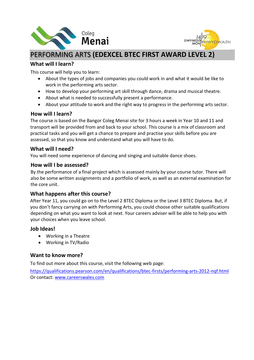



# PERFORMING ARTS **(EDEXCEL BTEC FIRST AWARD LEVEL 2)**

# **What will I learn?**

This course will help you to learn:

- About the types of jobs and companies you could work in and what it would be like to work in the performing arts sector.
- How to develop your performing art skill through dance, drama and musical theatre.
- About what is needed to successfully present a performance.
- About your attitude to work and the right way to progress in the performing arts sector.

# **How will I learn?**

The course is based on the Bangor Coleg Menai site for 3 hours a week in Year 10 and 11 and transport will be provided from and back to your school. This course is a mix of classroom and practical tasks and you will get a chance to prepare and practise your skills before you are assessed, so that you know and understand what you will have to do.

### **What will I need?**

You will need some experience of dancing and singing and suitable dance shoes.

### **How will I be assessed?**

By the performance of a final project which is assessed mainly by your course tutor. There will also be some written assignments and a portfolio of work, as well as an external examination for the core unit.

# **What happens after this course?**

After Year 11, you could go on to the Level 2 BTEC Diploma or the Level 3 BTEC Diploma. But, if you don't fancy carrying on with Performing Arts, you could choose other suitable qualifications depending on what you want to look at next. Your careers adviser will be able to help you with your choices when you leave school.

# **Job Ideas!**

- Working in a Theatre
- Working in TV/Radio

# **Want to know more?**

To find out more about this course, visit the following web page:

https://qualifications.pearson.com/en/qualifications/btec-firsts/performing-arts-2012-nqf.html Or contact: www.careerswales.com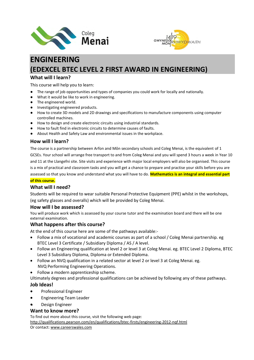



# **ENGINEERING (EDEXCEL BTEC LEVEL 2 FIRST AWARD IN ENGINEERING)**

#### **What will I learn?**

This course will help you to learn:

- The range of job opportunities and types of companies you could work for locally and nationally.
- What it would be like to work in engineering.
- The engineered world.
- Investigating engineered products.
- How to create 3D models and 2D drawings and specifications to manufacture components using computer controlled machines.
- How to design and create electronic circuits using industrial standards.
- How to fault find in electronic circuits to determine causes of faults.
- About Health and Safety Law and environmental issues in the workplace.

#### **How will I learn?**

The course is a partnership between Arfon and Môn secondary schools and Coleg Menai, is the equivalent of 1 GCSEs. Your school will arrange free transport to and from Coleg Menai and you will spend 3 hours a week in Year 10 and 11 at the Llangefni site. Site visits and experience with major local employers will also be organised. This course is a mix of practical and classroom tasks and you will get a chance to prepare and practise your skills before you are assessed so that you know and understand what you will have to do. **Mathematics is an integral and essential part of this course.**

### **What will I need?**

Students will be required to wear suitable Personal Protective Equipment (PPE) whilst in the workshops, (eg safety glasses and overalls) which will be provided by Coleg Menai.

#### **How will I be assessed?**

You will produce work which is assessed by your course tutor and the examination board and there will be one external examination.

#### **What happens after this course?**

At the end of this course here are some of the pathways available:-

- Follow a mix of vocational and academic courses as part of a school / Coleg Menai partnership. eg BTEC Level 3 Certificate / Subsidiary Diploma / AS / A level.
- Follow an Engineering qualification at level 2 or level 3 at Coleg Menai. eg. BTEC Level 2 Diploma, BTEC Level 3 Subsidiary Diploma, Diploma or Extended Diploma.
- Follow an NVQ qualification in a related sector at level 2 or level 3 at Coleg Menai. eg. NVQ Performing Engineering Operations.
- Follow a modern apprenticeship scheme.

Ultimately degrees and professional qualifications can be achieved by following any of these pathways. **Job Ideas!**

- Professional Engineer
- Engineering Team Leader
- Design Engineer

#### **Want to know more?**

To find out more about this course, visit the following web page: <http://qualifications.pearson.com/en/qualifications/btec-firsts/engineering-2012-nqf.html> Or contact[: www.careerswales.com](http://www.careerswales.com/)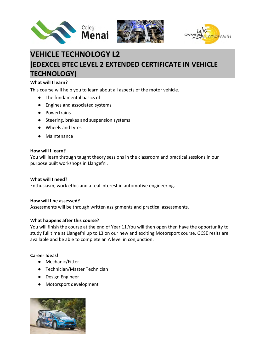





# **VEHICLE TECHNOLOGY L2 (EDEXCEL BTEC LEVEL 2 EXTENDED CERTIFICATE IN VEHICLE TECHNOLOGY)**

#### **What will I learn?**

This course will help you to learn about all aspects of the motor vehicle.

- The fundamental basics of -
- Engines and associated systems
- Powertrains
- Steering, brakes and suspension systems
- Wheels and tyres
- Maintenance

#### **How will I learn?**

You will learn through taught theory sessions in the classroom and practical sessions in our purpose built workshops in Llangefni.

#### **What will I need?**

Enthusiasm, work ethic and a real interest in automotive engineering.

#### **How will I be assessed?**

Assessments will be through written assignments and practical assessments.

#### **What happens after this course?**

You will finish the course at the end of Year 11.You will then open then have the opportunity to study full time at Llangefni up to L3 on our new and exciting Motorsport course. GCSE resits are available and be able to complete an A level in conjunction.

#### **Career Ideas!**

- Mechanic/Fitter
- Technician/Master Technician
- Design Engineer
- Motorsport development

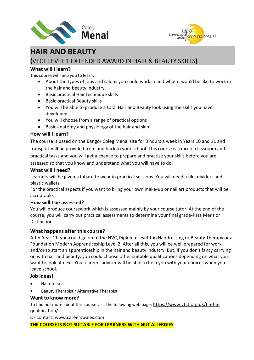



# **HAIR AND BEAUTY**

# **(**VTCT LEVEL 1 EXTENDED AWARD IN HAIR & BEAUTY SKILLS**)**

# **What will I learn?**

This course will help you to learn:

- About the types of jobs and salons you could work in and what it would be like to work in the hair and beauty industry.
- Basic practical Hair technique skills
- Basic practical Beauty skills
- You will be able to produce a total Hair and Beauty look using the skills you have developed
- You will choose from a range of practical options
- Basic anatomy and physiology of the hair and skin

# **How will I learn?**

The course is based on the Bangor Coleg Menai site for 3 hours a week in Years 10 and 11 and transport will be provided from and back to your school. This course is a mix of classroom and practical tasks and you will get a chance to prepare and practise your skills before you are assessed so that you know and understand what you will have to do.

# **What will I need?**

Learners will be given a tabard to wear in practical sessions. You will need a file, dividers and plastic wallets.

For the practical aspects if you want to bring your own make-up or nail art products that will be acceptable.

# **How will I be assessed?**

You will produce coursework which is assessed mainly by your course tutor. At the end of the course, you will carry out practical assessments to determine your final grade-Pass Merit or Distinction.

# **What happens after this course?**

After Year 11, you could go on to the NVQ Diploma Level 1 in Hairdressing or Beauty Therapy or a Foundation Modern Apprenticeship Level 2. After all this, you will be well prepared for work and/or to start an apprenticeship in the hair and beauty industry. But, if you don't fancy carrying on with hair and beauty, you could choose other suitable qualifications depending on what you want to look at next. Your careers adviser will be able to help you with your choices when you leave school.

# **Job Ideas!**

- Hairdresser
- Beauty Therapist / Alternative Therapist

# **Want to know more?**

To find out more about this course visit the following web page: [https://www.vtct.org.uk/find-a](https://www.vtct.org.uk/find-a-qualification/)[qualification/](https://www.vtct.org.uk/find-a-qualification/)

Or contact: [www.careerswales.com](http://www.careerswales.com/)

**THE COURSE IS NOT SUITABLE FOR LEARNERS WITH NUT ALLERGIES**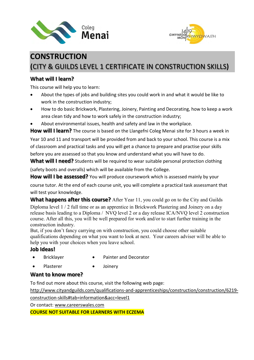



# **CONSTRUCTION (**CITY & GUILDS LEVEL 1 CERTIFICATE IN CONSTRUCTION SKILLS**)**

# **What will I learn?**

This course will help you to learn:

- About the types of jobs and building sites you could work in and what it would be like to work in the construction industry;
- How to do basic Brickwork, Plastering, Joinery, Painting and Decorating, how to keep a work area clean tidy and how to work safely in the construction industry;
- About environmental issues, health and safety and law in the workplace.

**How will I learn?** The course is based on the Llangefni Coleg Menai site for 3 hours a week in

Year 10 and 11 and transport will be provided from and back to your school. This course is a mix of classroom and practical tasks and you will get a chance to prepare and practise your skills before you are assessed so that you know and understand what you will have to do.

What will I need? Students will be required to wear suitable personal protection clothing

(safety boots and overalls) which will be available from the College.

**How will I be assessed?** You will produce coursework which is assessed mainly by your

course tutor. At the end of each course unit, you will complete a practical task assessmant that will test your knowledge.

**What happens after this course?** After Year 11, you could go on to the City and Guilds Diploma level 1 / 2 full time or as an apprentice in Brickwork Plastering and Joinery on a day release basis leading to a Diploma / NVQ level 2 or a day release ICA/NVQ level 2 construction course. After all this, you will be well prepared for work and/or to start further training in the construction industry.

But, if you don't fancy carrying on with construction, you could choose other suitable qualifications depending on what you want to look at next. Your careers adviser will be able to help you with your choices when you leave school.

# **Job Ideas!**

- Bricklayer Painter and Decorator
	-
	- Plasterer Joinery

# **Want to know more?**

To find out more about this course, visit the following web page:

http://www.cityandguilds.com/qualifications-and-apprenticeships/construction/construction/6219 construction-skills#tab=information&acc=level1

Or contact: [www.careerswales.com](http://www.careerswales.com/)

**COURSE NOT SUITABLE FOR LEARNERS WITH ECZEMA**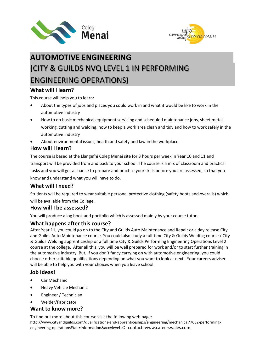



# **AUTOMOTIVE ENGINEERING (**CITY & GUILDS NVQ LEVEL 1 IN PERFORMING ENGINEERING OPERATIONS**)**

# **What will I learn?**

This course will help you to learn:

- About the types of jobs and places you could work in and what it would be like to work in the automotive industry
- How to do basic mechanical equipment servicing and scheduled maintenance jobs, sheet metal working, cutting and welding, how to keep a work area clean and tidy and how to work safely in the automotive industry
- About environmental issues, health and safety and law in the workplace.

# **How will I learn?**

The course is based at the Llangefni Coleg Menai site for 3 hours per week in Year 10 and 11 and transport will be provided from and back to your school. The course is a mix of classroom and practical tasks and you will get a chance to prepare and practise your skills before you are assessed, so that you know and understand what you will have to do.

# **What will I need?**

Students will be required to wear suitable personal protective clothing (safety boots and overalls) which will be available from the College.

# **How will I be assessed?**

You will produce a log book and portfolio which is assessed mainly by your course tutor.

# **What happens after this course?**

After Year 11, you could go on to the City and Guilds Auto Maintenance and Repair or a day release City and Guilds Auto Maintenance course. You could also study a full-time City & Guilds Welding course / City & Guilds Welding apprenticeship or a full time City & Guilds Performing Engineering Operations Level 2 course at the college. After all this, you will be well prepared for work and/or to start further training in the automotive industry. But, if you don't fancy carrying on with automotive engineering, you could choose other suitable qualifications depending on what you want to look at next. Your careers adviser will be able to help you with your choices when you leave school.

# **Job Ideas!**

- Car Mechanic
- Heavy Vehicle Mechanic
- Engineer / Technician
- Welder/Fabricator

# **Want to know more?**

To find out more about this course visit the following web page:

http://www.cityandguilds.com/qualifications-and-apprenticeships/engineering/mechanical/7682-performingengineering-operations#tab=information&acc=level1Or contact[: www.careerswales.com](http://www.careerswales.com/)